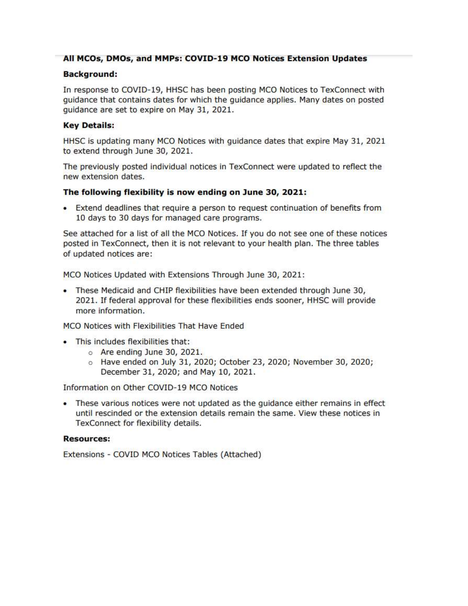### All MCOs, DMOs, and MMPs: COVID-19 MCO Notices Extension Updates

#### **Background:**

In response to COVID-19, HHSC has been posting MCO Notices to TexConnect with guidance that contains dates for which the guidance applies. Many dates on posted guidance are set to expire on May 31, 2021.

#### **Key Details:**

HHSC is updating many MCO Notices with guidance dates that expire May 31, 2021 to extend through June 30, 2021.

The previously posted individual notices in TexConnect were updated to reflect the new extension dates.

#### The following flexibility is now ending on June 30, 2021:

• Extend deadlines that require a person to request continuation of benefits from 10 days to 30 days for managed care programs.

See attached for a list of all the MCO Notices. If you do not see one of these notices posted in TexConnect, then it is not relevant to your health plan. The three tables of updated notices are:

MCO Notices Updated with Extensions Through June 30, 2021:

. These Medicaid and CHIP flexibilities have been extended through June 30, 2021. If federal approval for these flexibilities ends sooner, HHSC will provide more information.

MCO Notices with Flexibilities That Have Ended

- This includes flexibilities that:
	- o Are ending June 30, 2021.
	- Have ended on July 31, 2020; October 23, 2020; November 30, 2020; December 31, 2020; and May 10, 2021.

Information on Other COVID-19 MCO Notices

• These various notices were not updated as the guidance either remains in effect until rescinded or the extension details remain the same. View these notices in TexConnect for flexibility details.

#### **Resources:**

Extensions - COVID MCO Notices Tables (Attached)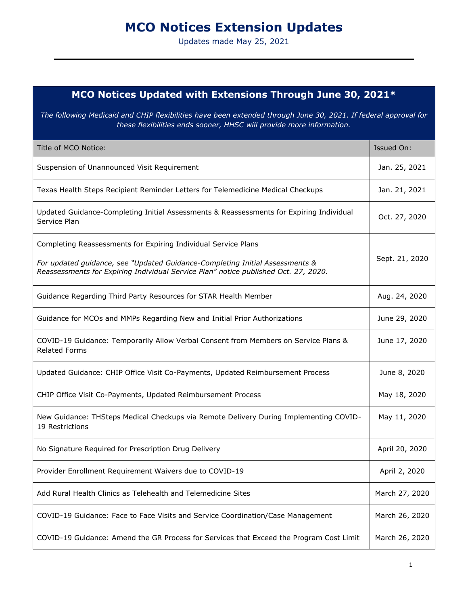# **MCO Notices Extension Updates**

Updates made May 25, 2021

## **MCO Notices Updated with Extensions Through June 30, 2021\***

*The following Medicaid and CHIP flexibilities have been extended through June 30, 2021. If federal approval for these flexibilities ends sooner, HHSC will provide more information.*

| Title of MCO Notice:                                                                                                                                                | Issued On:     |
|---------------------------------------------------------------------------------------------------------------------------------------------------------------------|----------------|
| Suspension of Unannounced Visit Requirement                                                                                                                         | Jan. 25, 2021  |
| Texas Health Steps Recipient Reminder Letters for Telemedicine Medical Checkups                                                                                     | Jan. 21, 2021  |
| Updated Guidance-Completing Initial Assessments & Reassessments for Expiring Individual<br>Service Plan                                                             | Oct. 27, 2020  |
| Completing Reassessments for Expiring Individual Service Plans                                                                                                      |                |
| For updated guidance, see "Updated Guidance-Completing Initial Assessments &<br>Reassessments for Expiring Individual Service Plan" notice published Oct. 27, 2020. | Sept. 21, 2020 |
| Guidance Regarding Third Party Resources for STAR Health Member                                                                                                     | Aug. 24, 2020  |
| Guidance for MCOs and MMPs Regarding New and Initial Prior Authorizations                                                                                           | June 29, 2020  |
| COVID-19 Guidance: Temporarily Allow Verbal Consent from Members on Service Plans &<br><b>Related Forms</b>                                                         | June 17, 2020  |
| Updated Guidance: CHIP Office Visit Co-Payments, Updated Reimbursement Process                                                                                      | June 8, 2020   |
| CHIP Office Visit Co-Payments, Updated Reimbursement Process                                                                                                        | May 18, 2020   |
| New Guidance: THSteps Medical Checkups via Remote Delivery During Implementing COVID-<br>19 Restrictions                                                            | May 11, 2020   |
| No Signature Required for Prescription Drug Delivery                                                                                                                | April 20, 2020 |
| Provider Enrollment Requirement Waivers due to COVID-19                                                                                                             | April 2, 2020  |
| Add Rural Health Clinics as Telehealth and Telemedicine Sites                                                                                                       | March 27, 2020 |
| COVID-19 Guidance: Face to Face Visits and Service Coordination/Case Management                                                                                     | March 26, 2020 |
| COVID-19 Guidance: Amend the GR Process for Services that Exceed the Program Cost Limit                                                                             | March 26, 2020 |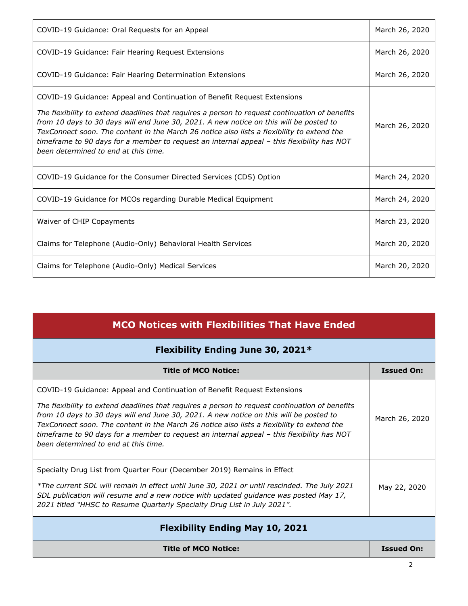| COVID-19 Guidance: Oral Requests for an Appeal                                                                                                                                                                                                                                                                                                                                                                                                                                                           | March 26, 2020 |
|----------------------------------------------------------------------------------------------------------------------------------------------------------------------------------------------------------------------------------------------------------------------------------------------------------------------------------------------------------------------------------------------------------------------------------------------------------------------------------------------------------|----------------|
| COVID-19 Guidance: Fair Hearing Request Extensions                                                                                                                                                                                                                                                                                                                                                                                                                                                       | March 26, 2020 |
| COVID-19 Guidance: Fair Hearing Determination Extensions                                                                                                                                                                                                                                                                                                                                                                                                                                                 | March 26, 2020 |
| COVID-19 Guidance: Appeal and Continuation of Benefit Request Extensions<br>The flexibility to extend deadlines that requires a person to request continuation of benefits<br>from 10 days to 30 days will end June 30, 2021. A new notice on this will be posted to<br>TexConnect soon. The content in the March 26 notice also lists a flexibility to extend the<br>timeframe to 90 days for a member to request an internal appeal - this flexibility has NOT<br>been determined to end at this time. | March 26, 2020 |
| COVID-19 Guidance for the Consumer Directed Services (CDS) Option                                                                                                                                                                                                                                                                                                                                                                                                                                        | March 24, 2020 |
| COVID-19 Guidance for MCOs regarding Durable Medical Equipment                                                                                                                                                                                                                                                                                                                                                                                                                                           | March 24, 2020 |
| Waiver of CHIP Copayments                                                                                                                                                                                                                                                                                                                                                                                                                                                                                | March 23, 2020 |
| Claims for Telephone (Audio-Only) Behavioral Health Services                                                                                                                                                                                                                                                                                                                                                                                                                                             | March 20, 2020 |
| Claims for Telephone (Audio-Only) Medical Services                                                                                                                                                                                                                                                                                                                                                                                                                                                       | March 20, 2020 |

| <b>MCO Notices with Flexibilities That Have Ended</b>                                                                                                                                                                                                                                                                                        |                   |
|----------------------------------------------------------------------------------------------------------------------------------------------------------------------------------------------------------------------------------------------------------------------------------------------------------------------------------------------|-------------------|
| Flexibility Ending June 30, 2021*                                                                                                                                                                                                                                                                                                            |                   |
| <b>Title of MCO Notice:</b>                                                                                                                                                                                                                                                                                                                  | <b>Issued On:</b> |
| COVID-19 Guidance: Appeal and Continuation of Benefit Request Extensions<br>The flexibility to extend deadlines that requires a person to request continuation of benefits<br>from 10 days to 30 days will end June 30, 2021. A new notice on this will be posted to                                                                         | March 26, 2020    |
| TexConnect soon. The content in the March 26 notice also lists a flexibility to extend the<br>timeframe to 90 days for a member to request an internal appeal - this flexibility has NOT<br>been determined to end at this time.                                                                                                             |                   |
| Specialty Drug List from Quarter Four (December 2019) Remains in Effect<br>*The current SDL will remain in effect until June 30, 2021 or until rescinded. The July 2021<br>SDL publication will resume and a new notice with updated guidance was posted May 17,<br>2021 titled "HHSC to Resume Quarterly Specialty Drug List in July 2021". | May 22, 2020      |
| <b>Flexibility Ending May 10, 2021</b>                                                                                                                                                                                                                                                                                                       |                   |
| <b>Title of MCO Notice:</b>                                                                                                                                                                                                                                                                                                                  | <b>Issued On:</b> |
|                                                                                                                                                                                                                                                                                                                                              | ∍                 |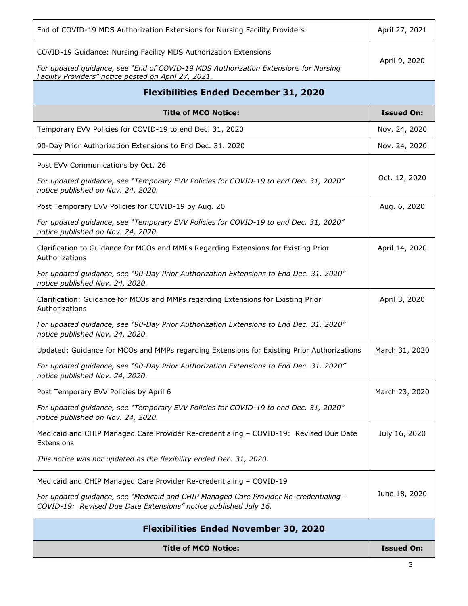| End of COVID-19 MDS Authorization Extensions for Nursing Facility Providers                                                                               | April 27, 2021    |
|-----------------------------------------------------------------------------------------------------------------------------------------------------------|-------------------|
| COVID-19 Guidance: Nursing Facility MDS Authorization Extensions                                                                                          |                   |
| For updated guidance, see "End of COVID-19 MDS Authorization Extensions for Nursing<br>Facility Providers" notice posted on April 27, 2021.               | April 9, 2020     |
| <b>Flexibilities Ended December 31, 2020</b>                                                                                                              |                   |
| <b>Title of MCO Notice:</b>                                                                                                                               | <b>Issued On:</b> |
| Temporary EVV Policies for COVID-19 to end Dec. 31, 2020                                                                                                  | Nov. 24, 2020     |
| 90-Day Prior Authorization Extensions to End Dec. 31. 2020                                                                                                | Nov. 24, 2020     |
| Post EVV Communications by Oct. 26                                                                                                                        |                   |
| For updated guidance, see "Temporary EVV Policies for COVID-19 to end Dec. 31, 2020"<br>notice published on Nov. 24, 2020.                                | Oct. 12, 2020     |
| Post Temporary EVV Policies for COVID-19 by Aug. 20                                                                                                       | Aug. 6, 2020      |
| For updated guidance, see "Temporary EVV Policies for COVID-19 to end Dec. 31, 2020"<br>notice published on Nov. 24, 2020.                                |                   |
| Clarification to Guidance for MCOs and MMPs Regarding Extensions for Existing Prior<br>Authorizations                                                     | April 14, 2020    |
| For updated guidance, see "90-Day Prior Authorization Extensions to End Dec. 31. 2020"<br>notice published Nov. 24, 2020.                                 |                   |
| Clarification: Guidance for MCOs and MMPs regarding Extensions for Existing Prior<br>Authorizations                                                       | April 3, 2020     |
| For updated guidance, see "90-Day Prior Authorization Extensions to End Dec. 31. 2020"<br>notice published Nov. 24, 2020.                                 |                   |
| Updated: Guidance for MCOs and MMPs regarding Extensions for Existing Prior Authorizations                                                                | March 31, 2020    |
| For updated guidance, see "90-Day Prior Authorization Extensions to End Dec. 31. 2020"<br>notice published Nov. 24, 2020.                                 |                   |
| Post Temporary EVV Policies by April 6                                                                                                                    | March 23, 2020    |
| For updated guidance, see "Temporary EVV Policies for COVID-19 to end Dec. 31, 2020"<br>notice published on Nov. 24, 2020.                                |                   |
| Medicaid and CHIP Managed Care Provider Re-credentialing - COVID-19: Revised Due Date<br>Extensions                                                       | July 16, 2020     |
| This notice was not updated as the flexibility ended Dec. 31, 2020.                                                                                       |                   |
| Medicaid and CHIP Managed Care Provider Re-credentialing - COVID-19                                                                                       |                   |
| For updated guidance, see "Medicaid and CHIP Managed Care Provider Re-credentialing -<br>COVID-19: Revised Due Date Extensions" notice published July 16. | June 18, 2020     |
| <b>Flexibilities Ended November 30, 2020</b>                                                                                                              |                   |
| <b>Title of MCO Notice:</b>                                                                                                                               | <b>Issued On:</b> |

3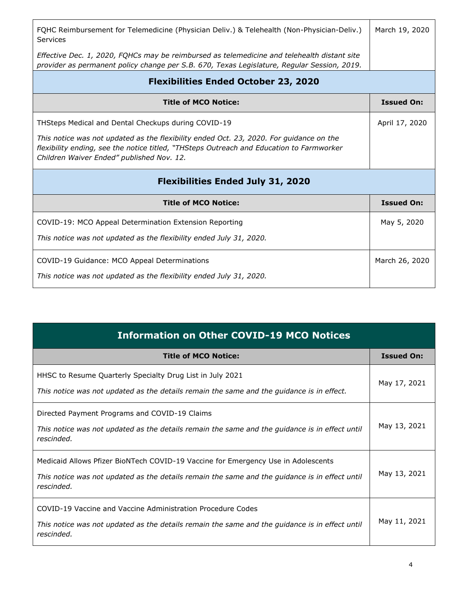| FQHC Reimbursement for Telemedicine (Physician Deliv.) & Telehealth (Non-Physician-Deliv.)<br><b>Services</b>                                                                                                                    | March 19, 2020    |
|----------------------------------------------------------------------------------------------------------------------------------------------------------------------------------------------------------------------------------|-------------------|
| Effective Dec. 1, 2020, FQHCs may be reimbursed as telemedicine and telehealth distant site<br>provider as permanent policy change per S.B. 670, Texas Legislature, Regular Session, 2019.                                       |                   |
| <b>Flexibilities Ended October 23, 2020</b>                                                                                                                                                                                      |                   |
| <b>Title of MCO Notice:</b>                                                                                                                                                                                                      | <b>Issued On:</b> |
| THSteps Medical and Dental Checkups during COVID-19                                                                                                                                                                              | April 17, 2020    |
| This notice was not updated as the flexibility ended Oct. 23, 2020. For guidance on the<br>flexibility ending, see the notice titled, "THSteps Outreach and Education to Farmworker<br>Children Waiver Ended" published Nov. 12. |                   |
| <b>Flexibilities Ended July 31, 2020</b>                                                                                                                                                                                         |                   |
| <b>Title of MCO Notice:</b>                                                                                                                                                                                                      | <b>Issued On:</b> |
| COVID-19: MCO Appeal Determination Extension Reporting                                                                                                                                                                           | May 5, 2020       |
| This notice was not updated as the flexibility ended July 31, 2020.                                                                                                                                                              |                   |
| COVID-19 Guidance: MCO Appeal Determinations                                                                                                                                                                                     | March 26, 2020    |
| This notice was not updated as the flexibility ended July 31, 2020.                                                                                                                                                              |                   |

| <b>Information on Other COVID-19 MCO Notices</b>                                                                                                                                                  |                   |
|---------------------------------------------------------------------------------------------------------------------------------------------------------------------------------------------------|-------------------|
| <b>Title of MCO Notice:</b>                                                                                                                                                                       | <b>Issued On:</b> |
| HHSC to Resume Quarterly Specialty Drug List in July 2021<br>This notice was not updated as the details remain the same and the guidance is in effect.                                            | May 17, 2021      |
| Directed Payment Programs and COVID-19 Claims<br>This notice was not updated as the details remain the same and the guidance is in effect until<br>rescinded.                                     | May 13, 2021      |
| Medicaid Allows Pfizer BioNTech COVID-19 Vaccine for Emergency Use in Adolescents<br>This notice was not updated as the details remain the same and the guidance is in effect until<br>rescinded. | May 13, 2021      |
| COVID-19 Vaccine and Vaccine Administration Procedure Codes<br>This notice was not updated as the details remain the same and the guidance is in effect until<br>rescinded.                       | May 11, 2021      |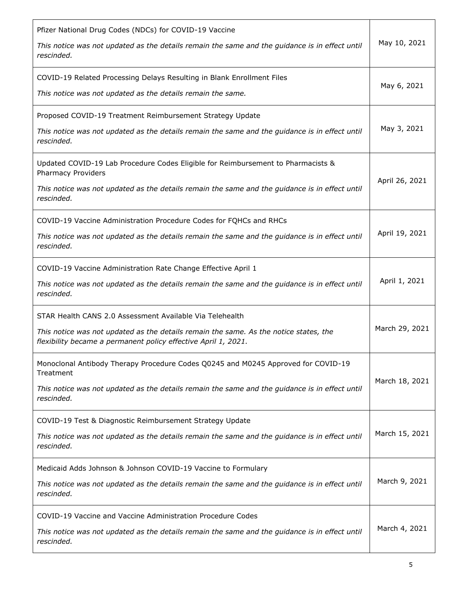| Pfizer National Drug Codes (NDCs) for COVID-19 Vaccine<br>This notice was not updated as the details remain the same and the guidance is in effect until<br>rescinded.                                                 | May 10, 2021   |
|------------------------------------------------------------------------------------------------------------------------------------------------------------------------------------------------------------------------|----------------|
| COVID-19 Related Processing Delays Resulting in Blank Enrollment Files<br>This notice was not updated as the details remain the same.                                                                                  | May 6, 2021    |
| Proposed COVID-19 Treatment Reimbursement Strategy Update<br>This notice was not updated as the details remain the same and the guidance is in effect until<br>rescinded.                                              | May 3, 2021    |
| Updated COVID-19 Lab Procedure Codes Eligible for Reimbursement to Pharmacists &<br>Pharmacy Providers<br>This notice was not updated as the details remain the same and the guidance is in effect until<br>rescinded. | April 26, 2021 |
| COVID-19 Vaccine Administration Procedure Codes for FQHCs and RHCs<br>This notice was not updated as the details remain the same and the guidance is in effect until<br>rescinded.                                     | April 19, 2021 |
| COVID-19 Vaccine Administration Rate Change Effective April 1<br>This notice was not updated as the details remain the same and the guidance is in effect until<br>rescinded.                                          | April 1, 2021  |
| STAR Health CANS 2.0 Assessment Available Via Telehealth<br>This notice was not updated as the details remain the same. As the notice states, the<br>flexibility became a permanent policy effective April 1, 2021.    | March 29, 2021 |
| Monoclonal Antibody Therapy Procedure Codes Q0245 and M0245 Approved for COVID-19<br>Treatment<br>This notice was not updated as the details remain the same and the guidance is in effect until<br>rescinded.         | March 18, 2021 |
| COVID-19 Test & Diagnostic Reimbursement Strategy Update<br>This notice was not updated as the details remain the same and the guidance is in effect until<br>rescinded.                                               | March 15, 2021 |
| Medicaid Adds Johnson & Johnson COVID-19 Vaccine to Formulary<br>This notice was not updated as the details remain the same and the guidance is in effect until<br>rescinded.                                          | March 9, 2021  |
| COVID-19 Vaccine and Vaccine Administration Procedure Codes<br>This notice was not updated as the details remain the same and the guidance is in effect until<br>rescinded.                                            | March 4, 2021  |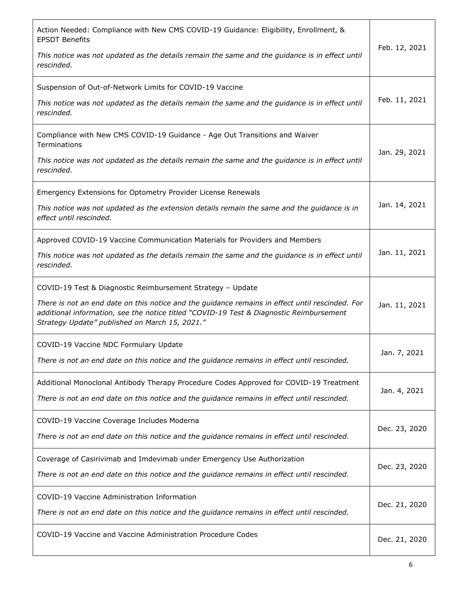| Action Needed: Compliance with New CMS COVID-19 Guidance: Eligibility, Enrollment, &<br><b>EPSDT Benefits</b>                                                                                                                                | Feb. 12, 2021 |
|----------------------------------------------------------------------------------------------------------------------------------------------------------------------------------------------------------------------------------------------|---------------|
| This notice was not updated as the details remain the same and the guidance is in effect until<br>rescinded.                                                                                                                                 |               |
| Suspension of Out-of-Network Limits for COVID-19 Vaccine                                                                                                                                                                                     |               |
| This notice was not updated as the details remain the same and the guidance is in effect until<br>rescinded.                                                                                                                                 | Feb. 11, 2021 |
| Compliance with New CMS COVID-19 Guidance - Age Out Transitions and Waiver<br>Terminations                                                                                                                                                   |               |
| This notice was not updated as the details remain the same and the guidance is in effect until<br>rescinded.                                                                                                                                 | Jan. 29, 2021 |
| Emergency Extensions for Optometry Provider License Renewals                                                                                                                                                                                 |               |
| This notice was not updated as the extension details remain the same and the guidance is in<br>effect until rescinded.                                                                                                                       | Jan. 14, 2021 |
| Approved COVID-19 Vaccine Communication Materials for Providers and Members                                                                                                                                                                  |               |
| This notice was not updated as the details remain the same and the guidance is in effect until<br>rescinded.                                                                                                                                 | Jan. 11, 2021 |
| COVID-19 Test & Diagnostic Reimbursement Strategy - Update                                                                                                                                                                                   |               |
| There is not an end date on this notice and the guidance remains in effect until rescinded. For<br>additional information, see the notice titled "COVID-19 Test & Diagnostic Reimbursement<br>Strategy Update" published on March 15, 2021." | Jan. 11, 2021 |
| COVID-19 Vaccine NDC Formulary Update                                                                                                                                                                                                        | Jan. 7, 2021  |
| There is not an end date on this notice and the guidance remains in effect until rescinded.                                                                                                                                                  |               |
| Additional Monoclonal Antibody Therapy Procedure Codes Approved for COVID-19 Treatment<br>There is not an end date on this notice and the guidance remains in effect until rescinded.                                                        | Jan. 4, 2021  |
| COVID-19 Vaccine Coverage Includes Moderna                                                                                                                                                                                                   | Dec. 23, 2020 |
| There is not an end date on this notice and the guidance remains in effect until rescinded.                                                                                                                                                  |               |
| Coverage of Casirivimab and Imdevimab under Emergency Use Authorization                                                                                                                                                                      | Dec. 23, 2020 |
| There is not an end date on this notice and the guidance remains in effect until rescinded.                                                                                                                                                  |               |
| COVID-19 Vaccine Administration Information                                                                                                                                                                                                  | Dec. 21, 2020 |
| There is not an end date on this notice and the guidance remains in effect until rescinded.                                                                                                                                                  |               |
| COVID-19 Vaccine and Vaccine Administration Procedure Codes                                                                                                                                                                                  | Dec. 21, 2020 |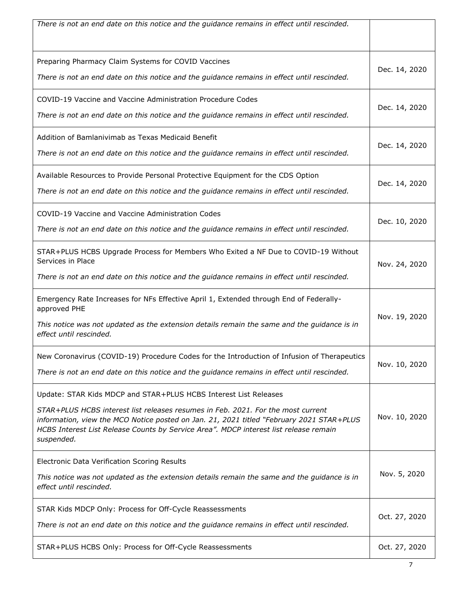| There is not an end date on this notice and the guidance remains in effect until rescinded.                                                                                                                                                                                                                                                             |               |
|---------------------------------------------------------------------------------------------------------------------------------------------------------------------------------------------------------------------------------------------------------------------------------------------------------------------------------------------------------|---------------|
| Preparing Pharmacy Claim Systems for COVID Vaccines<br>There is not an end date on this notice and the guidance remains in effect until rescinded.                                                                                                                                                                                                      | Dec. 14, 2020 |
| COVID-19 Vaccine and Vaccine Administration Procedure Codes<br>There is not an end date on this notice and the guidance remains in effect until rescinded.                                                                                                                                                                                              | Dec. 14, 2020 |
| Addition of Bamlanivimab as Texas Medicaid Benefit<br>There is not an end date on this notice and the guidance remains in effect until rescinded.                                                                                                                                                                                                       | Dec. 14, 2020 |
| Available Resources to Provide Personal Protective Equipment for the CDS Option<br>There is not an end date on this notice and the guidance remains in effect until rescinded.                                                                                                                                                                          | Dec. 14, 2020 |
| COVID-19 Vaccine and Vaccine Administration Codes<br>There is not an end date on this notice and the guidance remains in effect until rescinded.                                                                                                                                                                                                        | Dec. 10, 2020 |
| STAR+PLUS HCBS Upgrade Process for Members Who Exited a NF Due to COVID-19 Without<br>Services in Place<br>There is not an end date on this notice and the guidance remains in effect until rescinded.                                                                                                                                                  | Nov. 24, 2020 |
| Emergency Rate Increases for NFs Effective April 1, Extended through End of Federally-<br>approved PHE<br>This notice was not updated as the extension details remain the same and the guidance is in<br>effect until rescinded.                                                                                                                        | Nov. 19, 2020 |
| New Coronavirus (COVID-19) Procedure Codes for the Introduction of Infusion of Therapeutics<br>There is not an end date on this notice and the guidance remains in effect until rescinded.                                                                                                                                                              | Nov. 10, 2020 |
| Update: STAR Kids MDCP and STAR+PLUS HCBS Interest List Releases<br>STAR+PLUS HCBS interest list releases resumes in Feb. 2021. For the most current<br>information, view the MCO Notice posted on Jan. 21, 2021 titled "February 2021 STAR+PLUS<br>HCBS Interest List Release Counts by Service Area". MDCP interest list release remain<br>suspended. | Nov. 10, 2020 |
| Electronic Data Verification Scoring Results<br>This notice was not updated as the extension details remain the same and the guidance is in<br>effect until rescinded.                                                                                                                                                                                  | Nov. 5, 2020  |
| STAR Kids MDCP Only: Process for Off-Cycle Reassessments<br>There is not an end date on this notice and the guidance remains in effect until rescinded.                                                                                                                                                                                                 | Oct. 27, 2020 |
| STAR+PLUS HCBS Only: Process for Off-Cycle Reassessments                                                                                                                                                                                                                                                                                                | Oct. 27, 2020 |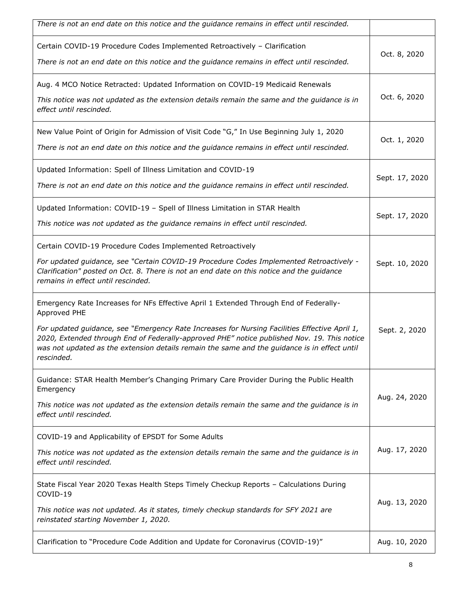| There is not an end date on this notice and the guidance remains in effect until rescinded.                                                                                                                                                                                                                                                                                                                         |                |
|---------------------------------------------------------------------------------------------------------------------------------------------------------------------------------------------------------------------------------------------------------------------------------------------------------------------------------------------------------------------------------------------------------------------|----------------|
| Certain COVID-19 Procedure Codes Implemented Retroactively - Clarification<br>There is not an end date on this notice and the guidance remains in effect until rescinded.                                                                                                                                                                                                                                           | Oct. 8, 2020   |
| Aug. 4 MCO Notice Retracted: Updated Information on COVID-19 Medicaid Renewals<br>This notice was not updated as the extension details remain the same and the guidance is in<br>effect until rescinded.                                                                                                                                                                                                            | Oct. 6, 2020   |
| New Value Point of Origin for Admission of Visit Code "G," In Use Beginning July 1, 2020<br>There is not an end date on this notice and the guidance remains in effect until rescinded.                                                                                                                                                                                                                             | Oct. 1, 2020   |
| Updated Information: Spell of Illness Limitation and COVID-19<br>There is not an end date on this notice and the guidance remains in effect until rescinded.                                                                                                                                                                                                                                                        | Sept. 17, 2020 |
| Updated Information: COVID-19 - Spell of Illness Limitation in STAR Health<br>This notice was not updated as the guidance remains in effect until rescinded.                                                                                                                                                                                                                                                        | Sept. 17, 2020 |
| Certain COVID-19 Procedure Codes Implemented Retroactively<br>For updated guidance, see "Certain COVID-19 Procedure Codes Implemented Retroactively -<br>Clarification" posted on Oct. 8. There is not an end date on this notice and the guidance<br>remains in effect until rescinded.                                                                                                                            | Sept. 10, 2020 |
| Emergency Rate Increases for NFs Effective April 1 Extended Through End of Federally-<br>Approved PHE<br>For updated guidance, see "Emergency Rate Increases for Nursing Facilities Effective April 1,<br>2020, Extended through End of Federally-approved PHE" notice published Nov. 19. This notice<br>was not updated as the extension details remain the same and the guidance is in effect until<br>rescinded. | Sept. 2, 2020  |
| Guidance: STAR Health Member's Changing Primary Care Provider During the Public Health<br>Emergency<br>This notice was not updated as the extension details remain the same and the guidance is in<br>effect until rescinded.                                                                                                                                                                                       | Aug. 24, 2020  |
| COVID-19 and Applicability of EPSDT for Some Adults<br>This notice was not updated as the extension details remain the same and the guidance is in<br>effect until rescinded.                                                                                                                                                                                                                                       | Aug. 17, 2020  |
| State Fiscal Year 2020 Texas Health Steps Timely Checkup Reports - Calculations During<br>COVID-19<br>This notice was not updated. As it states, timely checkup standards for SFY 2021 are<br>reinstated starting November 1, 2020.                                                                                                                                                                                 | Aug. 13, 2020  |
| Clarification to "Procedure Code Addition and Update for Coronavirus (COVID-19)"                                                                                                                                                                                                                                                                                                                                    | Aug. 10, 2020  |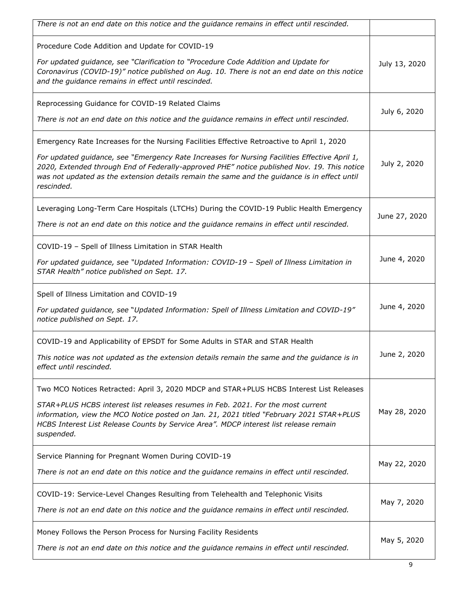| There is not an end date on this notice and the guidance remains in effect until rescinded.                                                                                                                                                                                                                                                                                                              |               |
|----------------------------------------------------------------------------------------------------------------------------------------------------------------------------------------------------------------------------------------------------------------------------------------------------------------------------------------------------------------------------------------------------------|---------------|
| Procedure Code Addition and Update for COVID-19<br>For updated guidance, see "Clarification to "Procedure Code Addition and Update for<br>Coronavirus (COVID-19)" notice published on Aug. 10. There is not an end date on this notice<br>and the guidance remains in effect until rescinded.                                                                                                            | July 13, 2020 |
| Reprocessing Guidance for COVID-19 Related Claims<br>There is not an end date on this notice and the guidance remains in effect until rescinded.                                                                                                                                                                                                                                                         | July 6, 2020  |
| Emergency Rate Increases for the Nursing Facilities Effective Retroactive to April 1, 2020<br>For updated guidance, see "Emergency Rate Increases for Nursing Facilities Effective April 1,<br>2020, Extended through End of Federally-approved PHE" notice published Nov. 19. This notice<br>was not updated as the extension details remain the same and the guidance is in effect until<br>rescinded. | July 2, 2020  |
| Leveraging Long-Term Care Hospitals (LTCHs) During the COVID-19 Public Health Emergency<br>There is not an end date on this notice and the guidance remains in effect until rescinded.                                                                                                                                                                                                                   | June 27, 2020 |
| COVID-19 - Spell of Illness Limitation in STAR Health<br>For updated guidance, see "Updated Information: COVID-19 - Spell of Illness Limitation in<br>STAR Health" notice published on Sept. 17.                                                                                                                                                                                                         | June 4, 2020  |
| Spell of Illness Limitation and COVID-19<br>For updated guidance, see "Updated Information: Spell of Illness Limitation and COVID-19"<br>notice published on Sept. 17.                                                                                                                                                                                                                                   | June 4, 2020  |
| COVID-19 and Applicability of EPSDT for Some Adults in STAR and STAR Health<br>This notice was not updated as the extension details remain the same and the quidance is in<br>effect until rescinded.                                                                                                                                                                                                    | June 2, 2020  |
| Two MCO Notices Retracted: April 3, 2020 MDCP and STAR+PLUS HCBS Interest List Releases<br>STAR+PLUS HCBS interest list releases resumes in Feb. 2021. For the most current<br>information, view the MCO Notice posted on Jan. 21, 2021 titled "February 2021 STAR+PLUS<br>HCBS Interest List Release Counts by Service Area". MDCP interest list release remain<br>suspended.                           | May 28, 2020  |
| Service Planning for Pregnant Women During COVID-19<br>There is not an end date on this notice and the guidance remains in effect until rescinded.                                                                                                                                                                                                                                                       | May 22, 2020  |
| COVID-19: Service-Level Changes Resulting from Telehealth and Telephonic Visits<br>There is not an end date on this notice and the guidance remains in effect until rescinded.                                                                                                                                                                                                                           | May 7, 2020   |
| Money Follows the Person Process for Nursing Facility Residents<br>There is not an end date on this notice and the guidance remains in effect until rescinded.                                                                                                                                                                                                                                           | May 5, 2020   |